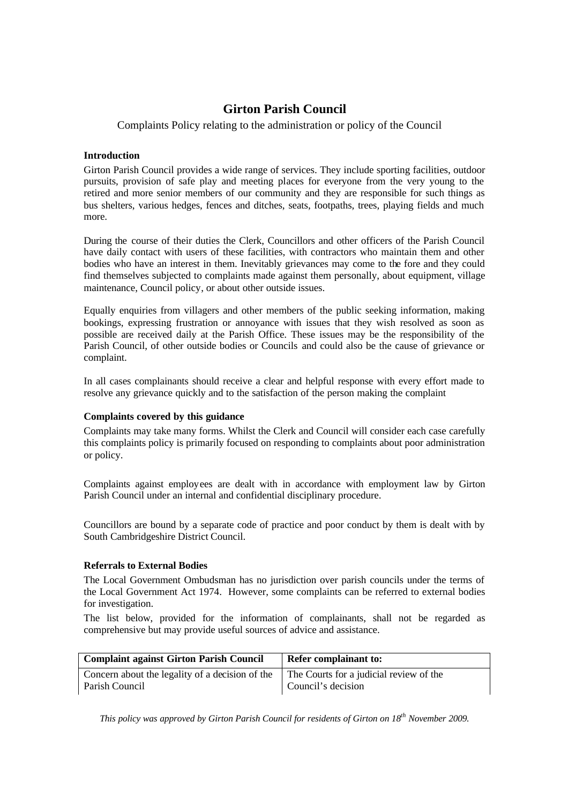# **Girton Parish Council**

## Complaints Policy relating to the administration or policy of the Council

#### **Introduction**

Girton Parish Council provides a wide range of services. They include sporting facilities, outdoor pursuits, provision of safe play and meeting places for everyone from the very young to the retired and more senior members of our community and they are responsible for such things as bus shelters, various hedges, fences and ditches, seats, footpaths, trees, playing fields and much more.

During the course of their duties the Clerk, Councillors and other officers of the Parish Council have daily contact with users of these facilities, with contractors who maintain them and other bodies who have an interest in them. Inevitably grievances may come to the fore and they could find themselves subjected to complaints made against them personally, about equipment, village maintenance, Council policy, or about other outside issues.

Equally enquiries from villagers and other members of the public seeking information, making bookings, expressing frustration or annoyance with issues that they wish resolved as soon as possible are received daily at the Parish Office. These issues may be the responsibility of the Parish Council, of other outside bodies or Councils and could also be the cause of grievance or complaint.

In all cases complainants should receive a clear and helpful response with every effort made to resolve any grievance quickly and to the satisfaction of the person making the complaint

## **Complaints covered by this guidance**

Complaints may take many forms. Whilst the Clerk and Council will consider each case carefully this complaints policy is primarily focused on responding to complaints about poor administration or policy.

Complaints against employees are dealt with in accordance with employment law by Girton Parish Council under an internal and confidential disciplinary procedure.

Councillors are bound by a separate code of practice and poor conduct by them is dealt with by South Cambridgeshire District Council.

## **Referrals to External Bodies**

The Local Government Ombudsman has no jurisdiction over parish councils under the terms of the Local Government Act 1974. However, some complaints can be referred to external bodies for investigation.

The list below, provided for the information of complainants, shall not be regarded as comprehensive but may provide useful sources of advice and assistance.

| <b>Complaint against Girton Parish Council</b>  | <b>Refer complainant to:</b>            |
|-------------------------------------------------|-----------------------------------------|
| Concern about the legality of a decision of the | The Courts for a judicial review of the |
| Parish Council                                  | Council's decision                      |

*This policy was approved by Girton Parish Council for residents of Girton on 18th November 2009.*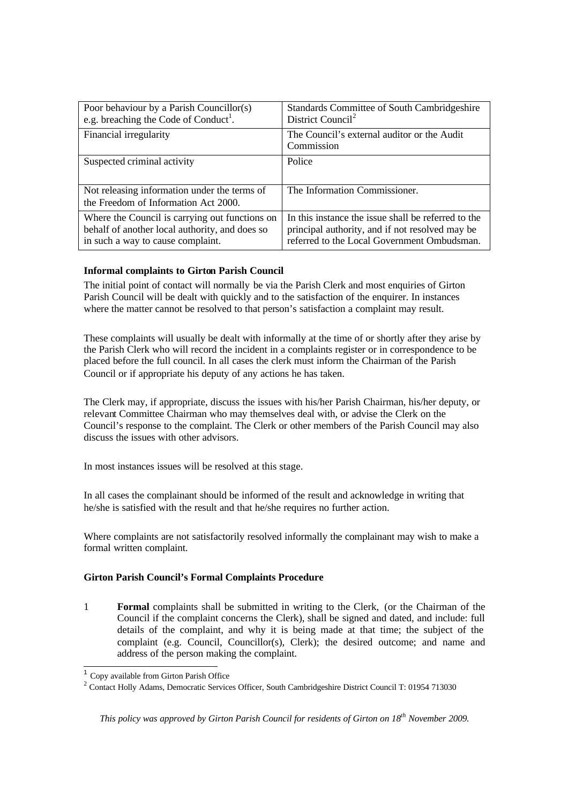| Poor behaviour by a Parish Councillor(s)<br>e.g. breaching the Code of Conduct <sup>1</sup> .                                         | Standards Committee of South Cambridgeshire<br>District Council <sup>2</sup>                                                                          |
|---------------------------------------------------------------------------------------------------------------------------------------|-------------------------------------------------------------------------------------------------------------------------------------------------------|
| Financial irregularity                                                                                                                | The Council's external auditor or the Audit<br>Commission                                                                                             |
| Suspected criminal activity                                                                                                           | Police                                                                                                                                                |
| Not releasing information under the terms of<br>the Freedom of Information Act 2000.                                                  | The Information Commissioner.                                                                                                                         |
| Where the Council is carrying out functions on<br>behalf of another local authority, and does so<br>in such a way to cause complaint. | In this instance the issue shall be referred to the<br>principal authority, and if not resolved may be<br>referred to the Local Government Ombudsman. |

## **Informal complaints to Girton Parish Council**

The initial point of contact will normally be via the Parish Clerk and most enquiries of Girton Parish Council will be dealt with quickly and to the satisfaction of the enquirer. In instances where the matter cannot be resolved to that person's satisfaction a complaint may result.

These complaints will usually be dealt with informally at the time of or shortly after they arise by the Parish Clerk who will record the incident in a complaints register or in correspondence to be placed before the full council. In all cases the clerk must inform the Chairman of the Parish Council or if appropriate his deputy of any actions he has taken.

The Clerk may, if appropriate, discuss the issues with his/her Parish Chairman, his/her deputy, or relevant Committee Chairman who may themselves deal with, or advise the Clerk on the Council's response to the complaint. The Clerk or other members of the Parish Council may also discuss the issues with other advisors.

In most instances issues will be resolved at this stage.

In all cases the complainant should be informed of the result and acknowledge in writing that he/she is satisfied with the result and that he/she requires no further action.

Where complaints are not satisfactorily resolved informally the complainant may wish to make a formal written complaint.

#### **Girton Parish Council's Formal Complaints Procedure**

1 **Formal** complaints shall be submitted in writing to the Clerk, (or the Chairman of the Council if the complaint concerns the Clerk), shall be signed and dated, and include: full details of the complaint, and why it is being made at that time; the subject of the complaint (e.g. Council, Councillor(s), Clerk); the desired outcome; and name and address of the person making the complaint.

 $\overline{a}$ 

*This policy was approved by Girton Parish Council for residents of Girton on 18th November 2009.*

<sup>&</sup>lt;sup>1</sup> Copy available from Girton Parish Office

<sup>&</sup>lt;sup>2</sup> Contact Holly Adams, Democratic Services Officer, South Cambridgeshire District Council T: 01954 713030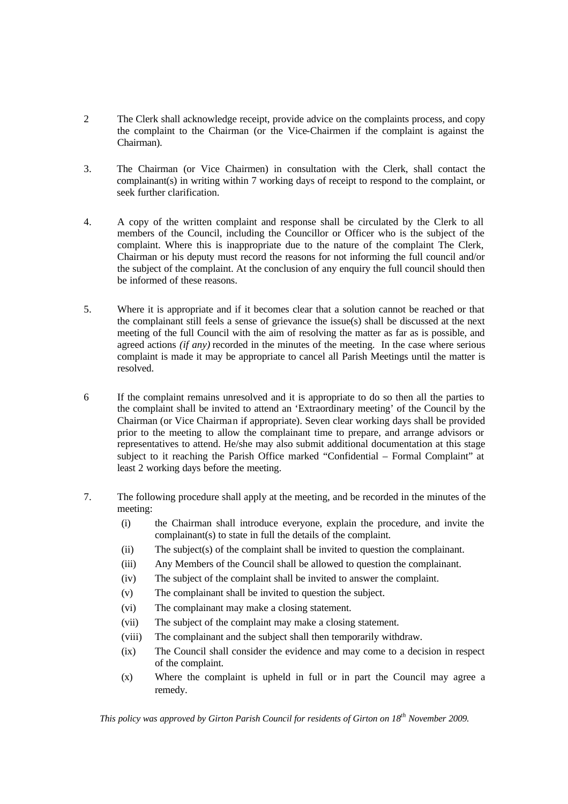- 2 The Clerk shall acknowledge receipt, provide advice on the complaints process, and copy the complaint to the Chairman (or the Vice-Chairmen if the complaint is against the Chairman).
- 3. The Chairman (or Vice Chairmen) in consultation with the Clerk, shall contact the complainant(s) in writing within 7 working days of receipt to respond to the complaint, or seek further clarification.
- 4. A copy of the written complaint and response shall be circulated by the Clerk to all members of the Council, including the Councillor or Officer who is the subject of the complaint. Where this is inappropriate due to the nature of the complaint The Clerk, Chairman or his deputy must record the reasons for not informing the full council and/or the subject of the complaint. At the conclusion of any enquiry the full council should then be informed of these reasons.
- 5. Where it is appropriate and if it becomes clear that a solution cannot be reached or that the complainant still feels a sense of grievance the issue(s) shall be discussed at the next meeting of the full Council with the aim of resolving the matter as far as is possible, and agreed actions *(if any)* recorded in the minutes of the meeting. In the case where serious complaint is made it may be appropriate to cancel all Parish Meetings until the matter is resolved.
- 6 If the complaint remains unresolved and it is appropriate to do so then all the parties to the complaint shall be invited to attend an 'Extraordinary meeting' of the Council by the Chairman (or Vice Chairman if appropriate). Seven clear working days shall be provided prior to the meeting to allow the complainant time to prepare, and arrange advisors or representatives to attend. He/she may also submit additional documentation at this stage subject to it reaching the Parish Office marked "Confidential – Formal Complaint" at least 2 working days before the meeting.
- 7. The following procedure shall apply at the meeting, and be recorded in the minutes of the meeting:
	- (i) the Chairman shall introduce everyone, explain the procedure, and invite the complainant(s) to state in full the details of the complaint.
	- (ii) The subject(s) of the complaint shall be invited to question the complainant.
	- (iii) Any Members of the Council shall be allowed to question the complainant.
	- (iv) The subject of the complaint shall be invited to answer the complaint.
	- (v) The complainant shall be invited to question the subject.
	- (vi) The complainant may make a closing statement.
	- (vii) The subject of the complaint may make a closing statement.
	- (viii) The complainant and the subject shall then temporarily withdraw.
	- (ix) The Council shall consider the evidence and may come to a decision in respect of the complaint.
	- (x) Where the complaint is upheld in full or in part the Council may agree a remedy.

*This policy was approved by Girton Parish Council for residents of Girton on 18th November 2009.*